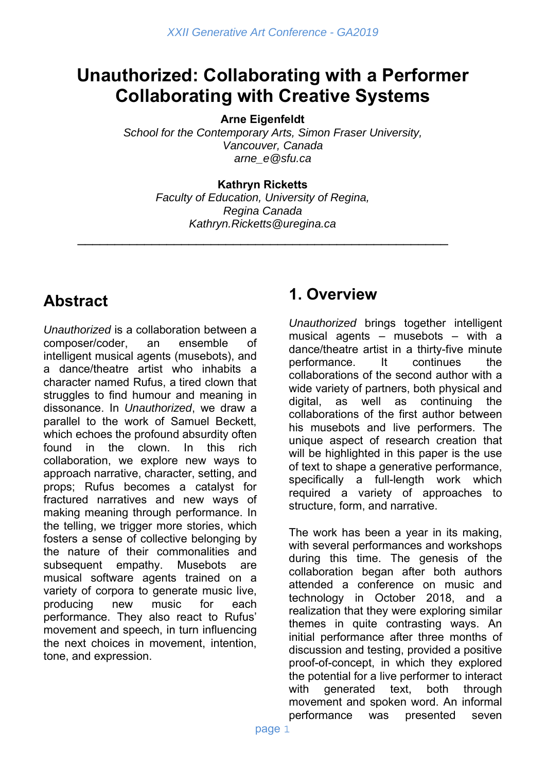# **Unauthorized: Collaborating with a Performer Collaborating with Creative Systems**

**Arne Eigenfeldt** 

*School for the Contemporary Arts, Simon Fraser University, Vancouver, Canada arne\_e@sfu.ca* 

#### **Kathryn Ricketts**

*Faculty of Education, University of Regina, Regina Canada Kathryn.Ricketts@uregina.ca* 

\_\_\_\_\_\_\_\_\_\_\_\_\_\_\_\_\_\_\_\_\_\_\_\_\_\_\_\_\_\_\_\_\_\_\_\_\_\_\_\_\_\_\_\_\_\_\_\_\_\_

## **Abstract**

*Unauthorized* is a collaboration between a composer/coder, an ensemble of intelligent musical agents (musebots), and a dance/theatre artist who inhabits a character named Rufus, a tired clown that struggles to find humour and meaning in dissonance. In *Unauthorized*, we draw a parallel to the work of Samuel Beckett, which echoes the profound absurdity often found in the clown. In this rich collaboration, we explore new ways to approach narrative, character, setting, and props; Rufus becomes a catalyst for fractured narratives and new ways of making meaning through performance. In the telling, we trigger more stories, which fosters a sense of collective belonging by the nature of their commonalities and subsequent empathy. Musebots are musical software agents trained on a variety of corpora to generate music live, producing new music for each performance. They also react to Rufus' movement and speech, in turn influencing the next choices in movement, intention, tone, and expression.

#### **1. Overview**

*Unauthorized* brings together intelligent musical agents – musebots – with a dance/theatre artist in a thirty-five minute performance. It continues the collaborations of the second author with a wide variety of partners, both physical and digital, as well as continuing the collaborations of the first author between his musebots and live performers. The unique aspect of research creation that will be highlighted in this paper is the use of text to shape a generative performance, specifically a full-length work which required a variety of approaches to structure, form, and narrative.

The work has been a year in its making, with several performances and workshops during this time. The genesis of the collaboration began after both authors attended a conference on music and technology in October 2018, and a realization that they were exploring similar themes in quite contrasting ways. An initial performance after three months of discussion and testing, provided a positive proof-of-concept, in which they explored the potential for a live performer to interact with generated text, both through movement and spoken word. An informal performance was presented seven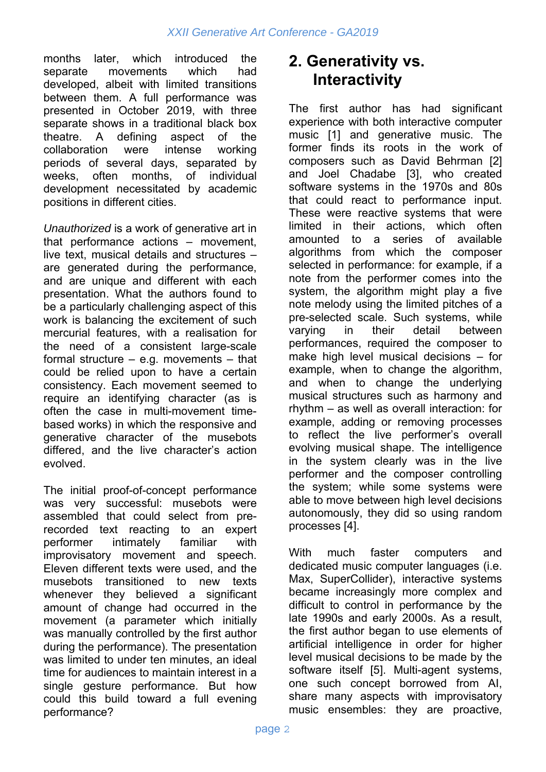months later, which introduced the separate movements which had developed, albeit with limited transitions between them. A full performance was presented in October 2019, with three separate shows in a traditional black box theatre. A defining aspect of the collaboration were intense working periods of several days, separated by weeks, often months, of individual development necessitated by academic positions in different cities.

*Unauthorized* is a work of generative art in that performance actions – movement, live text, musical details and structures – are generated during the performance, and are unique and different with each presentation. What the authors found to be a particularly challenging aspect of this work is balancing the excitement of such mercurial features, with a realisation for the need of a consistent large-scale formal structure – e.g. movements – that could be relied upon to have a certain consistency. Each movement seemed to require an identifying character (as is often the case in multi-movement timebased works) in which the responsive and generative character of the musebots differed, and the live character's action evolved.

The initial proof-of-concept performance was very successful: musebots were assembled that could select from prerecorded text reacting to an expert performer intimately familiar with improvisatory movement and speech. Eleven different texts were used, and the musebots transitioned to new texts whenever they believed a significant amount of change had occurred in the movement (a parameter which initially was manually controlled by the first author during the performance). The presentation was limited to under ten minutes, an ideal time for audiences to maintain interest in a single gesture performance. But how could this build toward a full evening performance?

#### **2. Generativity vs. Interactivity**

The first author has had significant experience with both interactive computer music [1] and generative music. The former finds its roots in the work of composers such as David Behrman [2] and Joel Chadabe [3], who created software systems in the 1970s and 80s that could react to performance input. These were reactive systems that were limited in their actions, which often amounted to a series of available algorithms from which the composer selected in performance: for example, if a note from the performer comes into the system, the algorithm might play a five note melody using the limited pitches of a pre-selected scale. Such systems, while varying in their detail between performances, required the composer to make high level musical decisions – for example, when to change the algorithm, and when to change the underlying musical structures such as harmony and rhythm – as well as overall interaction: for example, adding or removing processes to reflect the live performer's overall evolving musical shape. The intelligence in the system clearly was in the live performer and the composer controlling the system; while some systems were able to move between high level decisions autonomously, they did so using random processes [4].

With much faster computers and dedicated music computer languages (i.e. Max, SuperCollider), interactive systems became increasingly more complex and difficult to control in performance by the late 1990s and early 2000s. As a result, the first author began to use elements of artificial intelligence in order for higher level musical decisions to be made by the software itself [5]. Multi-agent systems, one such concept borrowed from AI, share many aspects with improvisatory music ensembles: they are proactive,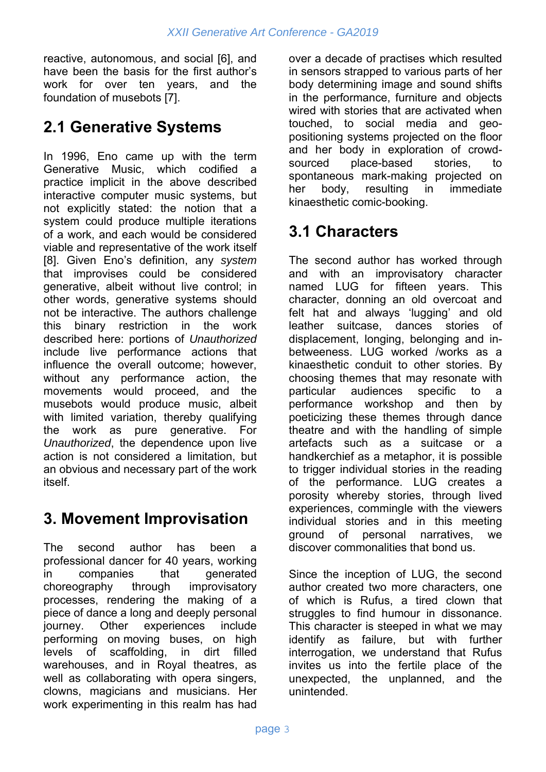reactive, autonomous, and social [6], and have been the basis for the first author's work for over ten years, and the foundation of musebots [7].

## **2.1 Generative Systems**

In 1996, Eno came up with the term Generative Music, which codified a practice implicit in the above described interactive computer music systems, but not explicitly stated: the notion that a system could produce multiple iterations of a work, and each would be considered viable and representative of the work itself [8]. Given Eno's definition, any *system* that improvises could be considered generative, albeit without live control; in other words, generative systems should not be interactive. The authors challenge this binary restriction in the work described here: portions of *Unauthorized* include live performance actions that influence the overall outcome; however, without any performance action, the movements would proceed, and the musebots would produce music, albeit with limited variation, thereby qualifying the work as pure generative. For *Unauthorized*, the dependence upon live action is not considered a limitation, but an obvious and necessary part of the work itself.

## **3. Movement Improvisation**

The second author has been a professional dancer for 40 years, working in companies that generated choreography through improvisatory processes, rendering the making of a piece of dance a long and deeply personal journey. Other experiences include performing on moving buses, on high levels of scaffolding, in dirt filled warehouses, and in Royal theatres, as well as collaborating with opera singers, clowns, magicians and musicians. Her work experimenting in this realm has had over a decade of practises which resulted in sensors strapped to various parts of her body determining image and sound shifts in the performance, furniture and objects wired with stories that are activated when touched, to social media and geopositioning systems projected on the floor and her body in exploration of crowdsourced place-based stories, to spontaneous mark-making projected on her body, resulting in immediate kinaesthetic comic-booking.

## **3.1 Characters**

The second author has worked through and with an improvisatory character named LUG for fifteen years. This character, donning an old overcoat and felt hat and always 'lugging' and old leather suitcase, dances stories of displacement, longing, belonging and inbetweeness. LUG worked /works as a kinaesthetic conduit to other stories. By choosing themes that may resonate with particular audiences specific to a performance workshop and then by poeticizing these themes through dance theatre and with the handling of simple artefacts such as a suitcase or a handkerchief as a metaphor, it is possible to trigger individual stories in the reading of the performance. LUG creates a porosity whereby stories, through lived experiences, commingle with the viewers individual stories and in this meeting ground of personal narratives, we discover commonalities that bond us.

Since the inception of LUG, the second author created two more characters, one of which is Rufus, a tired clown that struggles to find humour in dissonance. This character is steeped in what we may identify as failure, but with further interrogation, we understand that Rufus invites us into the fertile place of the unexpected, the unplanned, and the unintended.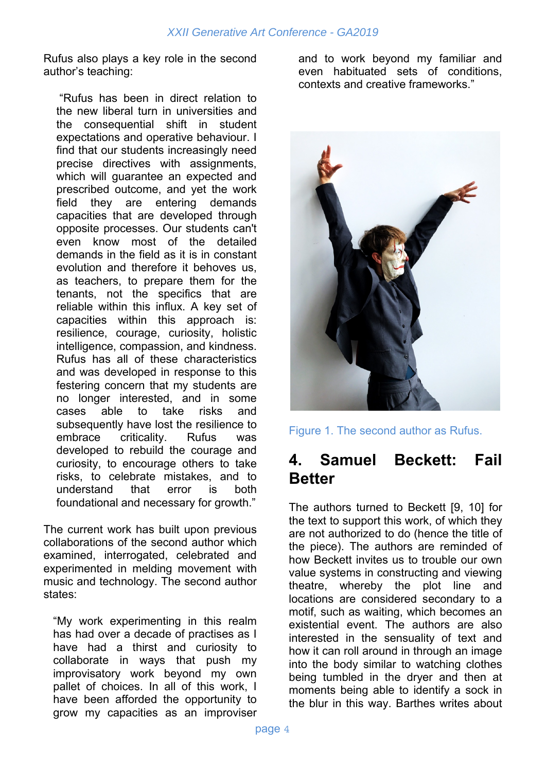Rufus also plays a key role in the second author's teaching:

 "Rufus has been in direct relation to the new liberal turn in universities and the consequential shift in student expectations and operative behaviour. I find that our students increasingly need precise directives with assignments, which will guarantee an expected and prescribed outcome, and yet the work field they are entering demands capacities that are developed through opposite processes. Our students can't even know most of the detailed demands in the field as it is in constant evolution and therefore it behoves us, as teachers, to prepare them for the tenants, not the specifics that are reliable within this influx. A key set of capacities within this approach is: resilience, courage, curiosity, holistic intelligence, compassion, and kindness. Rufus has all of these characteristics and was developed in response to this festering concern that my students are no longer interested, and in some cases able to take risks and subsequently have lost the resilience to embrace criticality. Rufus was developed to rebuild the courage and curiosity, to encourage others to take risks, to celebrate mistakes, and to understand that error is both foundational and necessary for growth."

The current work has built upon previous collaborations of the second author which examined, interrogated, celebrated and experimented in melding movement with music and technology. The second author states:

"My work experimenting in this realm has had over a decade of practises as I have had a thirst and curiosity to collaborate in ways that push my improvisatory work beyond my own pallet of choices. In all of this work, I have been afforded the opportunity to grow my capacities as an improviser

and to work beyond my familiar and even habituated sets of conditions, contexts and creative frameworks."



Figure 1. The second author as Rufus.

#### **4. Samuel Beckett: Fail Better**

The authors turned to Beckett [9, 10] for the text to support this work, of which they are not authorized to do (hence the title of the piece). The authors are reminded of how Beckett invites us to trouble our own value systems in constructing and viewing theatre, whereby the plot line and locations are considered secondary to a motif, such as waiting, which becomes an existential event. The authors are also interested in the sensuality of text and how it can roll around in through an image into the body similar to watching clothes being tumbled in the dryer and then at moments being able to identify a sock in the blur in this way. Barthes writes about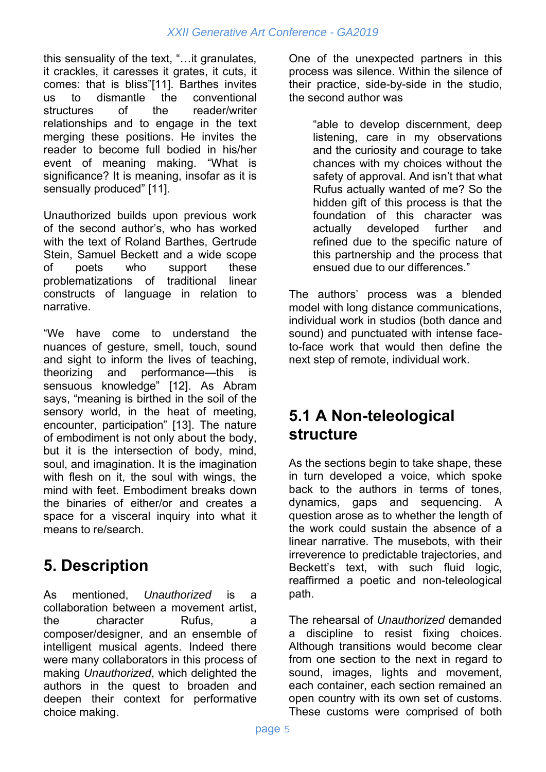this sensuality of the text, "…it granulates, it crackles, it caresses it grates, it cuts, it comes: that is bliss"[11]. Barthes invites us to dismantle the conventional structures of the reader/writer relationships and to engage in the text merging these positions. He invites the reader to become full bodied in his/her event of meaning making. "What is significance? It is meaning, insofar as it is sensually produced" [11].

Unauthorized builds upon previous work of the second author's, who has worked with the text of Roland Barthes, Gertrude Stein, Samuel Beckett and a wide scope of poets who support these problematizations of traditional linear constructs of language in relation to narrative.

"We have come to understand the nuances of gesture, smell, touch, sound and sight to inform the lives of teaching, theorizing and performance—this is sensuous knowledge" [12]. As Abram says, "meaning is birthed in the soil of the sensory world, in the heat of meeting, encounter, participation" [13]. The nature of embodiment is not only about the body, but it is the intersection of body, mind, soul, and imagination. It is the imagination with flesh on it, the soul with wings, the mind with feet. Embodiment breaks down the binaries of either/or and creates a space for a visceral inquiry into what it means to re/search.

## **5. Description**

As mentioned, *Unauthorized* is a collaboration between a movement artist, the character Rufus, a composer/designer, and an ensemble of intelligent musical agents. Indeed there were many collaborators in this process of making *Unauthorized*, which delighted the authors in the quest to broaden and deepen their context for performative choice making.

One of the unexpected partners in this process was silence. Within the silence of their practice, side-by-side in the studio, the second author was

"able to develop discernment, deep listening, care in my observations and the curiosity and courage to take chances with my choices without the safety of approval. And isn't that what Rufus actually wanted of me? So the hidden gift of this process is that the foundation of this character was actually developed further and refined due to the specific nature of this partnership and the process that ensued due to our differences."

The authors' process was a blended model with long distance communications, individual work in studios (both dance and sound) and punctuated with intense faceto-face work that would then define the next step of remote, individual work.

#### **5.1 A Non-teleological structure**

As the sections begin to take shape, these in turn developed a voice, which spoke back to the authors in terms of tones, dynamics, gaps and sequencing. A question arose as to whether the length of the work could sustain the absence of a linear narrative. The musebots, with their irreverence to predictable trajectories, and Beckett's text, with such fluid logic, reaffirmed a poetic and non-teleological path.

The rehearsal of *Unauthorized* demanded a discipline to resist fixing choices. Although transitions would become clear from one section to the next in regard to sound, images, lights and movement, each container, each section remained an open country with its own set of customs. These customs were comprised of both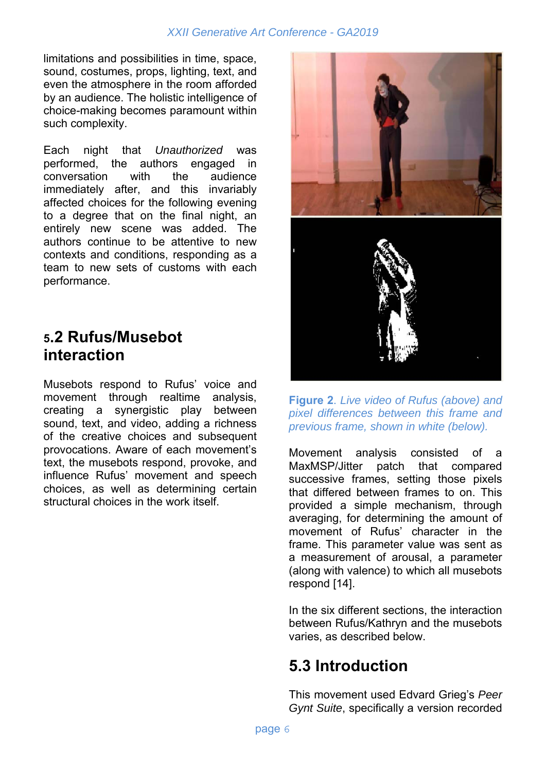limitations and possibilities in time, space, sound, costumes, props, lighting, text, and even the atmosphere in the room afforded by an audience. The holistic intelligence of choice-making becomes paramount within such complexity.

Each night that *Unauthorized* was performed, the authors engaged in conversation with the audience immediately after, and this invariably affected choices for the following evening to a degree that on the final night, an entirely new scene was added. The authors continue to be attentive to new contexts and conditions, responding as a team to new sets of customs with each performance.

#### **5.2 Rufus/Musebot interaction**

Musebots respond to Rufus' voice and movement through realtime analysis, creating a synergistic play between sound, text, and video, adding a richness of the creative choices and subsequent provocations. Aware of each movement's text, the musebots respond, provoke, and influence Rufus' movement and speech choices, as well as determining certain structural choices in the work itself.



**Figure 2**. *Live video of Rufus (above) and pixel differences between this frame and previous frame, shown in white (below).* 

Movement analysis consisted of a MaxMSP/Jitter patch that compared successive frames, setting those pixels that differed between frames to on. This provided a simple mechanism, through averaging, for determining the amount of movement of Rufus' character in the frame. This parameter value was sent as a measurement of arousal, a parameter (along with valence) to which all musebots respond [14].

In the six different sections, the interaction between Rufus/Kathryn and the musebots varies, as described below.

### **5.3 Introduction**

This movement used Edvard Grieg's *Peer Gynt Suite*, specifically a version recorded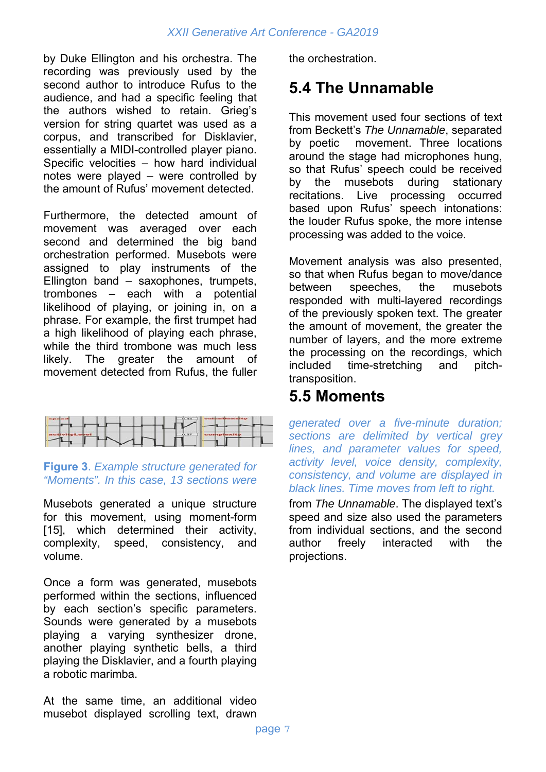by Duke Ellington and his orchestra. The recording was previously used by the second author to introduce Rufus to the audience, and had a specific feeling that the authors wished to retain. Grieg's version for string quartet was used as a corpus, and transcribed for Disklavier, essentially a MIDI-controlled player piano. Specific velocities – how hard individual notes were played – were controlled by the amount of Rufus' movement detected.

Furthermore, the detected amount of movement was averaged over each second and determined the big band orchestration performed. Musebots were assigned to play instruments of the Ellington band – saxophones, trumpets, trombones – each with a potential likelihood of playing, or joining in, on a phrase. For example, the first trumpet had a high likelihood of playing each phrase. while the third trombone was much less likely. The greater the amount of movement detected from Rufus, the fuller



**Figure 3**. *Example structure generated for "Moments". In this case, 13 sections were* 

Musebots generated a unique structure for this movement, using moment-form [15], which determined their activity, complexity, speed, consistency, and volume.

Once a form was generated, musebots performed within the sections, influenced by each section's specific parameters. Sounds were generated by a musebots playing a varying synthesizer drone, another playing synthetic bells, a third playing the Disklavier, and a fourth playing a robotic marimba.

At the same time, an additional video musebot displayed scrolling text, drawn the orchestration.

## **5.4 The Unnamable**

This movement used four sections of text from Beckett's *The Unnamable*, separated by poetic movement. Three locations around the stage had microphones hung, so that Rufus' speech could be received by the musebots during stationary recitations. Live processing occurred based upon Rufus' speech intonations: the louder Rufus spoke, the more intense processing was added to the voice.

Movement analysis was also presented, so that when Rufus began to move/dance between speeches, the musebots responded with multi-layered recordings of the previously spoken text. The greater the amount of movement, the greater the number of layers, and the more extreme the processing on the recordings, which included time-stretching and pitchtransposition.

#### **5.5 Moments**

*generated over a five-minute duration; sections are delimited by vertical grey lines, and parameter values for speed, activity level, voice density, complexity, consistency, and volume are displayed in black lines. Time moves from left to right.*

from *The Unnamable*. The displayed text's speed and size also used the parameters from individual sections, and the second author freely interacted with the projections.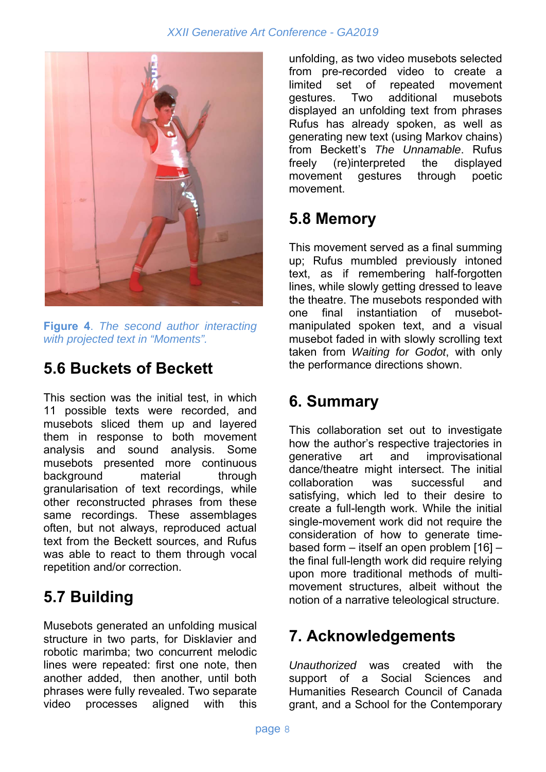

**Figure 4**. *The second author interacting with projected text in "Moments".*

## **5.6 Buckets of Beckett**

This section was the initial test, in which 11 possible texts were recorded, and musebots sliced them up and layered them in response to both movement analysis and sound analysis. Some musebots presented more continuous background material through granularisation of text recordings, while other reconstructed phrases from these same recordings. These assemblages often, but not always, reproduced actual text from the Beckett sources, and Rufus was able to react to them through vocal repetition and/or correction.

### **5.7 Building**

Musebots generated an unfolding musical structure in two parts, for Disklavier and robotic marimba; two concurrent melodic lines were repeated: first one note, then another added, then another, until both phrases were fully revealed. Two separate video processes aligned with this

unfolding, as two video musebots selected from pre-recorded video to create a limited set of repeated movement gestures. Two additional musebots displayed an unfolding text from phrases Rufus has already spoken, as well as generating new text (using Markov chains) from Beckett's *The Unnamable*. Rufus freely (re)interpreted the displayed movement gestures through poetic movement.

### **5.8 Memory**

This movement served as a final summing up; Rufus mumbled previously intoned text, as if remembering half-forgotten lines, while slowly getting dressed to leave the theatre. The musebots responded with one final instantiation of musebotmanipulated spoken text, and a visual musebot faded in with slowly scrolling text taken from *Waiting for Godot*, with only the performance directions shown.

#### **6. Summary**

This collaboration set out to investigate how the author's respective trajectories in generative art and improvisational dance/theatre might intersect. The initial collaboration was successful and satisfying, which led to their desire to create a full-length work. While the initial single-movement work did not require the consideration of how to generate timebased form – itself an open problem [16] – the final full-length work did require relying upon more traditional methods of multimovement structures, albeit without the notion of a narrative teleological structure.

### **7. Acknowledgements**

*Unauthorized* was created with the support of a Social Sciences and Humanities Research Council of Canada grant, and a School for the Contemporary